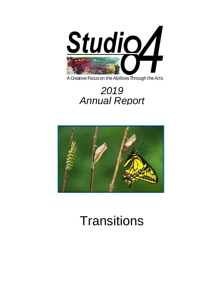

A Creative Focus on the Abilities Through the Arts

# 2019 **Annual Report**



# **Transitions**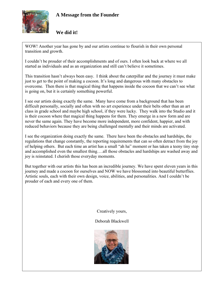

# **A Message from the Founder**

# **We did it!**

WOW! Another year has gone by and our artists continue to flourish in their own personal transition and growth.

I couldn't be prouder of their accomplishments and of ours. I often look back at where we all started as individuals and as an organization and still can't believe it sometimes.

This transition hasn't always been easy. I think about the caterpillar and the journey it must make just to get to the point of making a cocoon. It's long and dangerous with many obstacles to overcome. Then there is that magical thing that happens inside the cocoon that we can't see what is going on, but it is certainly something powerful.

I see our artists doing exactly the same. Many have come from a background that has been difficult personally, socially and often with no art experience under their belts other than an art class in grade school and maybe high school, if they were lucky. They walk into the Studio and it is their cocoon where that magical thing happens for them. They emerge in a new form and are never the same again. They have become more independent, more confident, happier, and with reduced behaviors because they are being challenged mentally and their minds are activated.

I see the organization doing exactly the same. There have been the obstacles and hardships, the regulations that change constantly, the reporting requirements that can so often detract from the joy of helping others. But each time an artist has a small "ah ha" moment or has taken a teeny tiny step and accomplished even the smallest thing….all those obstacles and hardships are washed away and joy is reinstated. I cherish those everyday moments.

But together with our artists this has been an incredible journey. We have spent eleven years in this journey and made a cocoon for ourselves and NOW we have blossomed into beautiful butterflies. Artistic souls, each with their own design, voice, abilities, and personalities. And I couldn't be prouder of each and every one of them.

Creatively yours,

#### Deborah Blackwell

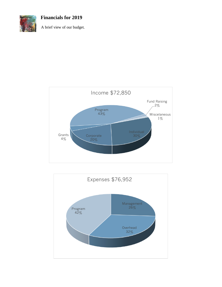

**Financials for 2019**

A brief view of our budget.



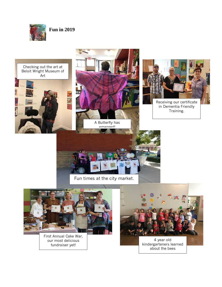

Art

**A** 

**Fun in 2019**





in Dementia Friendly Training.

emerged!





First Annual Cake War, our most delicious fundraiser yet!



4 year old kindergarteners learned about the bees

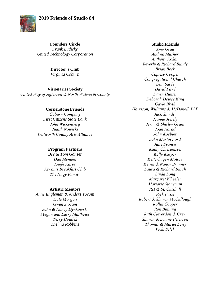### **2019 Friends of Studio 84**



**Founders Circle**  *Frank Ludicky United Technology Corporation*

#### **Director's Club**

*Virginia Coburn*

#### **Visionaries Society**

*United Way of Jefferson & North Walworth County*

#### **Cornerstone Friends**

*Coburn Company First Citizens State Bank John Wickenberg Judith Nowicki Walworth County Arts Alliance*

#### **Program Partners**

*Bev & Tom Ganser Dan Menden Keefe Kares Kiwanis Breakfast Club The Nagy Family*

#### **Artistic Mentors**

*Anne Engleman & Anders Yocom Dale Morgan Gwen Slocum John & Nancy Dynkowski Megan and Larry Matthews Terry Houdek Thelma Robbins*

#### **Studio Friends**

*Amy Grau Andrea Musher Anthony Kokan Beverly & Richard Bundy Brian Beck Caprise Cooper Congregational Church Dan Sable David Pawl Dawn Hunter Deborah Dewey King Gayle Blyth Harrison, Williams & McDonell, LLP Jack Standly Jeanne Jonely Jerry & Shirley Grant Joan Narad John Koebler John Martin Ford Julie Svanoe Kathy Christenson Kelly Kasper Ketterhagen Motors Keven & Nancy Brunner Laura & Richard Bursh Linda Long Margaret Wheeler Marjorie Stoneman RH & SL Cutshall Rick Fassl Robert & Sharon McCullough Rollin Cooper Ron Binning Ruth Cleverdon & Crew Sharon & Duane Peterson Thomas & Mariel Lewy Vicki Selck*